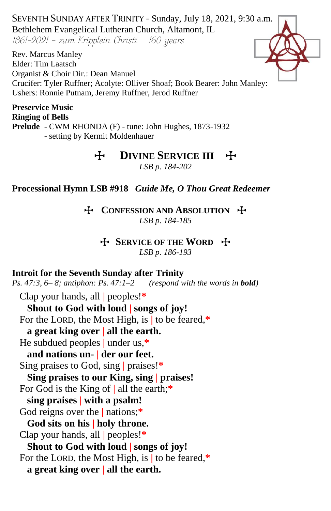SEVENTH SUNDAY AFTER TRINITY - Sunday, July 18, 2021, 9:30 a.m. Bethlehem Evangelical Lutheran Church, Altamont, IL

1861-2021 - zum Kripplein Christi - 160 years

Rev. Marcus Manley Elder: Tim Laatsch Organist & Choir Dir.: Dean Manuel Crucifer: Tyler Ruffner; Acolyte: Olliver Shoaf; Book Bearer: John Manley: Ushers: Ronnie Putnam, Jeremy Ruffner, Jerod Ruffner

**Preservice Music Ringing of Bells Prelude -** CWM RHONDA (F) - tune: John Hughes, 1873-1932 - setting by Kermit Moldenhauer

# **H** DIVINE SERVICE III +

*LSB p. 184-202*

#### **Processional Hymn LSB #918** *Guide Me, O Thou Great Redeemer*

### T **CONFESSION AND ABSOLUTION** T *LSB p. 184-185*

### **H** SERVICE OF THE WORD **H**

*LSB p. 186-193*

#### **Introit for the Seventh Sunday after Trinity**

*Ps. 47:3, 6– 8; antiphon: Ps. 47:1–2 (respond with the words in bold)*

Clap your hands, all **|** peoples!**\* Shout to God with loud | songs of joy!** For the LORD, the Most High, is **|** to be feared,**\* a great king over | all the earth.** He subdued peoples **|** under us,**\* and nations un- | der our feet.** Sing praises to God, sing **|** praises!**\* Sing praises to our King, sing | praises!** For God is the King of **|** all the earth;**\* sing praises | with a psalm!** God reigns over the **|** nations;**\* God sits on his | holy throne.** Clap your hands, all **|** peoples!**\* Shout to God with loud | songs of joy!** For the LORD, the Most High, is **|** to be feared,**\* a great king over | all the earth.**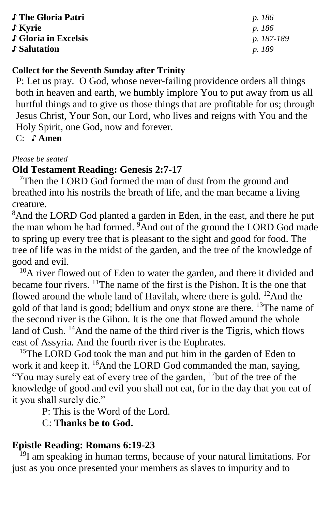| ♪ The Gloria Patri   | <i>p.</i> 186 |
|----------------------|---------------|
| $\int$ Kyrie         | <i>p.</i> 186 |
| ↓ Gloria in Excelsis | p. 187-189    |
| Salutation           | <i>p.</i> 189 |

# **Collect for the Seventh Sunday after Trinity**

P: Let us pray. O God, whose never-failing providence orders all things both in heaven and earth, we humbly implore You to put away from us all hurtful things and to give us those things that are profitable for us; through Jesus Christ, Your Son, our Lord, who lives and reigns with You and the Holy Spirit, one God, now and forever.

C: **♪ Amen**

#### *Please be seated*

# **Old Testament Reading: Genesis 2:7-17**

 $7$ Then the LORD God formed the man of dust from the ground and breathed into his nostrils the breath of life, and the man became a living creature.

<sup>8</sup>And the LORD God planted a garden in Eden, in the east, and there he put the man whom he had formed. <sup>9</sup>And out of the ground the LORD God made to spring up every tree that is pleasant to the sight and good for food. The tree of life was in the midst of the garden, and the tree of the knowledge of good and evil.

<sup>10</sup>A river flowed out of Eden to water the garden, and there it divided and became four rivers.  $\frac{11}{1}$ The name of the first is the Pishon. It is the one that flowed around the whole land of Havilah, where there is gold.  $^{12}$ And the gold of that land is good; bdellium and onyx stone are there. <sup>13</sup>The name of the second river is the Gihon. It is the one that flowed around the whole land of Cush.  $^{14}$ And the name of the third river is the Tigris, which flows east of Assyria. And the fourth river is the Euphrates.

<sup>15</sup>The LORD God took the man and put him in the garden of Eden to work it and keep it. <sup>16</sup>And the LORD God commanded the man, saying, "You may surely eat of every tree of the garden, <sup>17</sup>but of the tree of the knowledge of good and evil you shall not eat, for in the day that you eat of it you shall surely die."

P: This is the Word of the Lord.

C: **Thanks be to God.**

# **Epistle Reading: Romans 6:19-23**

<sup>19</sup>I am speaking in human terms, because of your natural limitations. For just as you once presented your members as slaves to impurity and to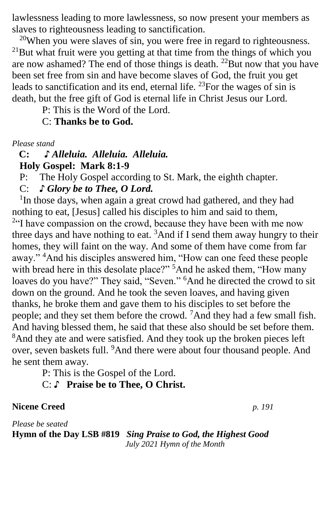lawlessness leading to more lawlessness, so now present your members as slaves to righteousness leading to sanctification.

 $20$ When you were slaves of sin, you were free in regard to righteousness.  $^{21}$ But what fruit were you getting at that time from the things of which you are now ashamed? The end of those things is death. <sup>22</sup>But now that you have been set free from sin and have become slaves of God, the fruit you get leads to sanctification and its end, eternal life.  $^{23}$ For the wages of sin is death, but the free gift of God is eternal life in Christ Jesus our Lord.

P: This is the Word of the Lord.

C: **Thanks be to God.**

*Please stand*

## **C: ♪** *Alleluia. Alleluia. Alleluia.*  **Holy Gospel: Mark 8:1-9**

P: The Holy Gospel according to St. Mark, the eighth chapter.

C: *♪ Glory be to Thee, O Lord.*

<sup>1</sup>In those days, when again a great crowd had gathered, and they had nothing to eat, [Jesus] called his disciples to him and said to them,  $2^{\alpha}$  have compassion on the crowd, because they have been with me now three days and have nothing to eat.  ${}^{3}$ And if I send them away hungry to their homes, they will faint on the way. And some of them have come from far away." <sup>4</sup>And his disciples answered him, "How can one feed these people with bread here in this desolate place?"<sup>5</sup>And he asked them, "How many" loaves do you have?" They said, "Seven." <sup>6</sup>And he directed the crowd to sit down on the ground. And he took the seven loaves, and having given thanks, he broke them and gave them to his disciples to set before the people; and they set them before the crowd. <sup>7</sup>And they had a few small fish. And having blessed them, he said that these also should be set before them. <sup>8</sup>And they ate and were satisfied. And they took up the broken pieces left over, seven baskets full. <sup>9</sup>And there were about four thousand people. And he sent them away.

P: This is the Gospel of the Lord.

C: ♪ **Praise be to Thee, O Christ.**

**Nicene Creed** *p. 191*

*Please be seated* **Hymn of the Day LSB #819** *Sing Praise to God, the Highest Good July 2021 Hymn of the Month*